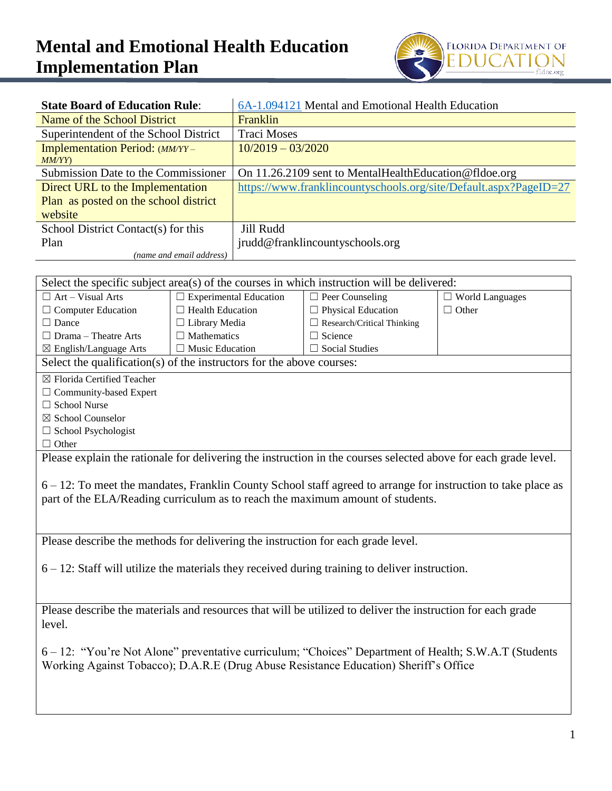## **Mental and Emotional Health Education Implementation Plan**



| <b>State Board of Education Rule:</b> | 6A-1.094121 Mental and Emotional Health Education                 |  |  |
|---------------------------------------|-------------------------------------------------------------------|--|--|
| Name of the School District           | Franklin                                                          |  |  |
| Superintendent of the School District | <b>Traci Moses</b>                                                |  |  |
| Implementation Period: (MM/YY –       | $10/2019 - 03/2020$                                               |  |  |
| MM/YY                                 |                                                                   |  |  |
| Submission Date to the Commissioner   | On 11.26.2109 sent to MentalHealthEducation@fldoe.org             |  |  |
| Direct URL to the Implementation      | https://www.franklincountyschools.org/site/Default.aspx?PageID=27 |  |  |
| Plan as posted on the school district |                                                                   |  |  |
| website                               |                                                                   |  |  |
| School District Contact(s) for this   | Jill Rudd                                                         |  |  |
| Plan                                  | jrudd@franklincountyschools.org                                   |  |  |
| (name and email address)              |                                                                   |  |  |

| Select the specific subject area(s) of the courses in which instruction will be delivered:                            |                               |                                                                                                               |                        |  |
|-----------------------------------------------------------------------------------------------------------------------|-------------------------------|---------------------------------------------------------------------------------------------------------------|------------------------|--|
| $\Box$ Art – Visual Arts                                                                                              | $\Box$ Experimental Education | $\Box$ Peer Counseling                                                                                        | $\Box$ World Languages |  |
| $\Box$ Computer Education                                                                                             | $\Box$ Health Education       | $\Box$ Physical Education                                                                                     | $\Box$ Other           |  |
| $\Box$ Dance                                                                                                          | $\Box$ Library Media          | $\Box$ Research/Critical Thinking                                                                             |                        |  |
| $\Box$ Drama – Theatre Arts                                                                                           | $\Box$ Mathematics            | $\Box$ Science                                                                                                |                        |  |
| ⊠ English/Language Arts                                                                                               | $\Box$ Music Education        | $\Box$ Social Studies                                                                                         |                        |  |
| Select the qualification(s) of the instructors for the above courses:                                                 |                               |                                                                                                               |                        |  |
| ⊠ Florida Certified Teacher                                                                                           |                               |                                                                                                               |                        |  |
| $\Box$ Community-based Expert                                                                                         |                               |                                                                                                               |                        |  |
| □ School Nurse                                                                                                        |                               |                                                                                                               |                        |  |
| ⊠ School Counselor                                                                                                    |                               |                                                                                                               |                        |  |
| $\Box$ School Psychologist                                                                                            |                               |                                                                                                               |                        |  |
| $\Box$ Other                                                                                                          |                               |                                                                                                               |                        |  |
| Please explain the rationale for delivering the instruction in the courses selected above for each grade level.       |                               |                                                                                                               |                        |  |
|                                                                                                                       |                               |                                                                                                               |                        |  |
|                                                                                                                       |                               | 6 – 12: To meet the mandates, Franklin County School staff agreed to arrange for instruction to take place as |                        |  |
| part of the ELA/Reading curriculum as to reach the maximum amount of students.                                        |                               |                                                                                                               |                        |  |
|                                                                                                                       |                               |                                                                                                               |                        |  |
|                                                                                                                       |                               |                                                                                                               |                        |  |
|                                                                                                                       |                               |                                                                                                               |                        |  |
| Please describe the methods for delivering the instruction for each grade level.                                      |                               |                                                                                                               |                        |  |
| $6 - 12$ : Staff will utilize the materials they received during training to deliver instruction.                     |                               |                                                                                                               |                        |  |
|                                                                                                                       |                               |                                                                                                               |                        |  |
|                                                                                                                       |                               |                                                                                                               |                        |  |
|                                                                                                                       |                               |                                                                                                               |                        |  |
| Please describe the materials and resources that will be utilized to deliver the instruction for each grade<br>level. |                               |                                                                                                               |                        |  |
|                                                                                                                       |                               |                                                                                                               |                        |  |
|                                                                                                                       |                               |                                                                                                               |                        |  |
| 6 – 12: "You're Not Alone" preventative curriculum; "Choices" Department of Health; S.W.A.T (Students                 |                               |                                                                                                               |                        |  |
| Working Against Tobacco); D.A.R.E (Drug Abuse Resistance Education) Sheriff's Office                                  |                               |                                                                                                               |                        |  |
|                                                                                                                       |                               |                                                                                                               |                        |  |
|                                                                                                                       |                               |                                                                                                               |                        |  |